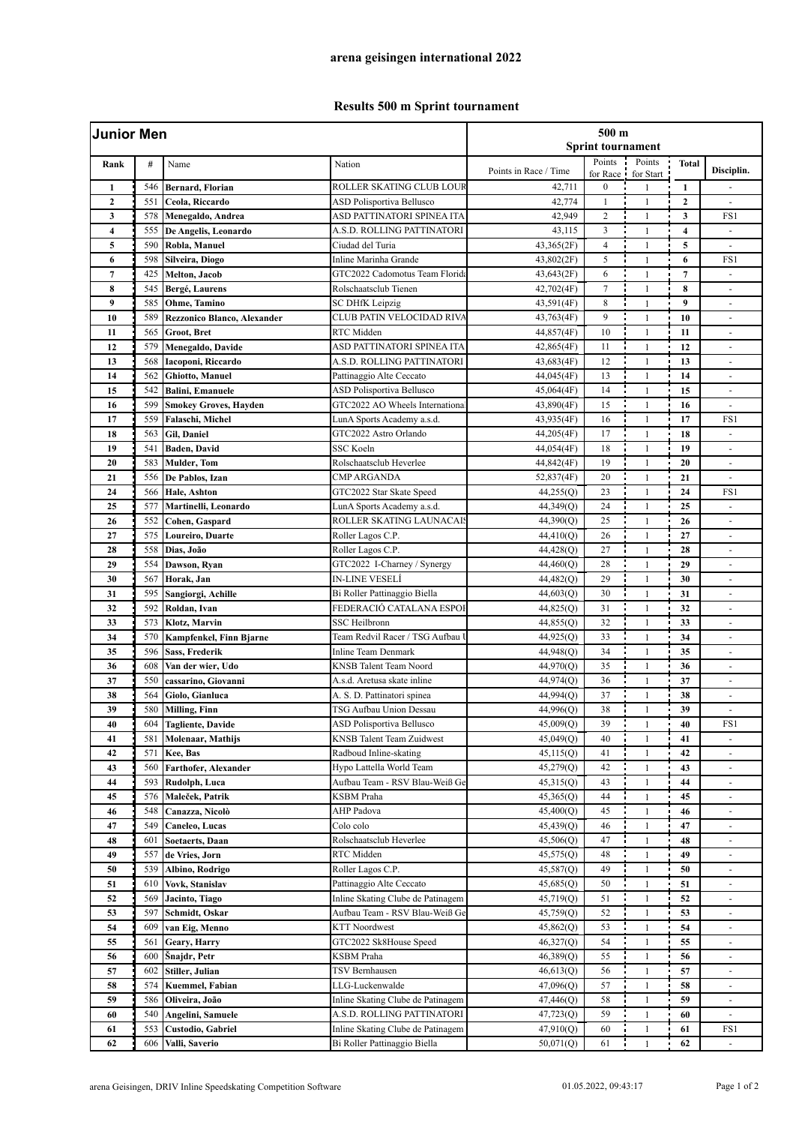## **Results 500 m Sprint tournament**

| <b>Junior Men</b> |            |                                    |                                   | $500 \text{ m}$<br><b>Sprint tournament</b> |                      |                                     |                     |                          |  |
|-------------------|------------|------------------------------------|-----------------------------------|---------------------------------------------|----------------------|-------------------------------------|---------------------|--------------------------|--|
| Rank              | #          | Name                               | Nation                            | Points in Race / Time                       | Points<br>for Race i | Points<br>for Start                 | <b>Total</b>        | Disciplin.               |  |
| $\mathbf{1}$      | 546        | <b>Bernard, Florian</b>            | ROLLER SKATING CLUB LOUR          | 42,711                                      | $\boldsymbol{0}$     | $\mathbf{1}$                        | $\mathbf{1}$        |                          |  |
| $\boldsymbol{2}$  | 551        | Ceola, Riccardo                    | <b>ASD Polisportiva Bellusco</b>  | 42,774                                      | 1                    | $\mathbf{1}$                        | $\mathbf{2}$        |                          |  |
| 3                 | 578        | Menegaldo, Andrea                  | ASD PATTINATORI SPINEA ITA        | 42,949                                      | $\overline{c}$       | $\mathbf{1}$                        | 3                   | FS1                      |  |
| 4                 | 555        | De Angelis, Leonardo               | A.S.D. ROLLING PATTINATORI        | 43,115                                      | 3                    | $\mathbf{1}$                        | $\overline{\bf{4}}$ |                          |  |
| 5                 | 590        | Robla, Manuel                      | Ciudad del Turia                  | 43,365(2F)                                  | $\overline{4}$       | $\mathbf{1}$                        | 5                   | $\blacksquare$           |  |
| 6                 | 598        | Silveira, Diogo                    | Inline Marinha Grande             | 43,802(2F)                                  | 5                    | $\mathbf{1}$                        | 6                   | FS1                      |  |
| $\overline{7}$    | 425        | Melton, Jacob                      | GTC2022 Cadomotus Team Florid:    | 43,643(2F)                                  | 6                    | $\mathbf{1}$                        | $\overline{7}$      |                          |  |
| 8                 | 545        | Bergé, Laurens                     | Rolschaatsclub Tienen             | 42,702(4F)                                  | 7                    | $\mathbf{1}$                        | 8                   | $\overline{\phantom{a}}$ |  |
| 9                 | 585        | Ohme, Tamino                       | SC DHfK Leipzig                   | 43,591(4F)                                  | 8                    | $\overline{1}$                      | 9                   | $\blacksquare$           |  |
| 10                | 589        | <b>Rezzonico Blanco, Alexander</b> | CLUB PATIN VELOCIDAD RIVA         | 43,763(4F)                                  | 9                    | $\mathbf{1}$                        | 10                  | $\Box$                   |  |
| 11                | 565        | Groot, Bret                        | RTC Midden                        | 44,857(4F)                                  | 10                   | $\mathbf{1}$                        | 11                  | $\overline{\phantom{a}}$ |  |
| 12                | 579        | Menegaldo, Davide                  | ASD PATTINATORI SPINEA ITA        | 42,865(4F)                                  | 11                   | $\mathbf{1}$                        | 12                  | $\sim$                   |  |
| 13                | 568        | Iacoponi, Riccardo                 | A.S.D. ROLLING PATTINATORI        | 43,683(4F)                                  | 12                   | $\mathbf{1}$                        | 13                  | ÷.                       |  |
| 14                | 562        | Ghiotto, Manuel                    | Pattinaggio Alte Ceccato          | 44,045(4F)                                  | 13                   | $\mathbf{1}$                        | 14                  | $\blacksquare$           |  |
| 15                | 542        | <b>Balini</b> , Emanuele           | ASD Polisportiva Bellusco         | 45,064(4F)                                  | 14                   | $\mathbf{1}$                        | 15                  | $\blacksquare$           |  |
| 16                | 599        | Smokey Groves, Hayden              | GTC2022 AO Wheels Internationa    | 43,890(4F)                                  | 15                   | $\mathbf{1}$                        | 16                  | $\sim$                   |  |
| 17                | 559        | Falaschi, Michel                   | LunA Sports Academy a.s.d.        | 43,935(4F)                                  | 16                   | $\mathbf{1}$                        | 17                  | FS1                      |  |
| 18                | 563        | <b>Gil, Daniel</b>                 | GTC2022 Astro Orlando             | 44,205(4F)                                  | 17                   | $\mathbf{1}$                        | 18                  | $\blacksquare$           |  |
| 19                | 541        | Baden, David                       | <b>SSC Koeln</b>                  | 44,054(4F)                                  | 18                   | $\mathbf{1}$                        | 19                  | ä,                       |  |
| 20                | 583        | <b>Mulder</b> , Tom                | Rolschaatsclub Heverlee           | 44,842(4F)                                  | 19                   | $\mathbf{1}$                        | 20                  | $\blacksquare$           |  |
| 21                | 556        | De Pablos, Izan                    | CMP ARGANDA                       | 52,837(4F)                                  | 20                   | $\mathbf{1}$                        | 21                  | $\sim$                   |  |
| 24                | 566        | Hale, Ashton                       | GTC2022 Star Skate Speed          | 44,255(Q)                                   | 23                   | $\mathbf{1}$                        | 24                  | FS1                      |  |
| 25                | 577        | Martinelli, Leonardo               | LunA Sports Academy a.s.d.        | 44,349(Q)                                   | 24                   | $\mathbf{1}$                        | 25                  |                          |  |
| 26                | 552        | Cohen, Gaspard                     | ROLLER SKATING LAUNACAI:          | 44,390(Q)                                   | 25                   | $\mathbf{1}$                        | 26                  | $\blacksquare$           |  |
| 27                | 575        | Loureiro, Duarte                   | Roller Lagos C.P.                 | 44,410(Q)                                   | 26                   | $\mathbf{1}$                        | 27                  | $\sim$                   |  |
| 28                | 558        | Dias, João                         | Roller Lagos C.P.                 | 44,428(Q)                                   | 27                   | $\mathbf{1}$                        | 28                  | $\blacksquare$           |  |
| 29                | 554        | Dawson, Ryan                       | GTC2022 I-Charney / Synergy       | 44,460(Q)                                   | 28                   | $\mathbf{1}$                        | 29                  | $\overline{\phantom{a}}$ |  |
| 30                | 567        | Horak, Jan                         | <b>IN-LINE VESELÍ</b>             | 44,482(Q)                                   | 29                   | $\mathbf{1}$                        | 30                  |                          |  |
| 31                | 595        | Sangiorgi, Achille                 | Bi Roller Pattinaggio Biella      | 44,603(Q)                                   | 30                   | $\mathbf{1}$                        | 31                  | $\sim$                   |  |
| 32                | 592        | Roldan, Ivan                       | FEDERACIÓ CATALANA ESPOI          | 44,825(Q)                                   | 31                   | $\mathbf{1}$                        | 32                  |                          |  |
| 33                | 573        | Klotz, Marvin                      | <b>SSC Heilbronn</b>              | 44,855(Q)                                   | 32                   | $\mathbf{1}$                        | 33                  | $\omega$                 |  |
| 34                | 570        | <b>Kampfenkel, Finn Bjarne</b>     | Team Redvil Racer / TSG Aufbau    | 44,925(O)                                   | 33                   | $\mathbf{1}$                        | 34                  |                          |  |
| 35                | 596        | <b>Sass, Frederik</b>              | <b>Inline Team Denmark</b>        |                                             | 34                   | $\mathbf{1}$                        | 35                  | $\overline{\phantom{a}}$ |  |
| 36                | 608        |                                    | <b>KNSB</b> Talent Team Noord     | 44,948(Q)                                   | 35                   | $\mathbf{1}$                        | 36                  | $\sim$<br>$\sim$         |  |
|                   |            | Van der wier, Udo                  | A.s.d. Aretusa skate inline       | 44,970(Q)<br>44,974(Q)                      | 36                   | $\mathbf{1}$                        | 37                  |                          |  |
| 37                | 550<br>564 | cassarino, Giovanni                |                                   |                                             | 37                   |                                     |                     | $\overline{\phantom{a}}$ |  |
| 38                |            | Giolo, Gianluca                    | A. S. D. Pattinatori spinea       | 44,994(Q)                                   | 38                   | $\mathbf{1}$                        | 38                  |                          |  |
| 39                | 580        | <b>Milling</b> , Finn              | TSG Aufbau Union Dessau           | 44,996(Q)                                   |                      |                                     | 39                  | $\blacksquare$           |  |
| 40                | 604        | <b>Tagliente, Davide</b>           | ASD Polisportiva Bellusco         | 45,009(Q)                                   | 39                   | $\mathbf{1}$<br>$\blacksquare$<br>÷ | 40                  | FS1                      |  |
| 41                | 581        | Molenaar, Mathijs                  | <b>KNSB Talent Team Zuidwest</b>  | 45,049(Q)                                   | 40                   | $\mathbf{1}$                        | 41                  | $\overline{\phantom{a}}$ |  |
| 42                | 571        | Kee, Bas                           | Radboud Inline-skating            | 45,115(0)                                   | 41                   | $\mathbf{1}$                        | 42                  |                          |  |
| 43                | 560        | Farthofer, Alexander               | Hypo Lattella World Team          | 45,279(Q)                                   | 42                   | $\mathbf{1}$                        | 43                  |                          |  |
| 44                | 593        | Rudolph, Luca                      | Aufbau Team - RSV Blau-Weiß Ge    | 45,315(Q)                                   | 43                   | $\mathbf{1}$                        | 44                  | $\blacksquare$           |  |
| 45                | 576        | Maleček, Patrik                    | KSBM Praha                        | 45,365(Q)                                   | 44                   | 1                                   | 45                  | $\overline{\phantom{a}}$ |  |
| 46                | 548        | Canazza, Nicolò                    | AHP Padova                        | 45,400(Q)                                   | 45                   | $\mathbf{1}$                        | 46                  | $\overline{\phantom{a}}$ |  |
| 47                | 549        | Caneleo, Lucas                     | Colo colo                         | 45,439(Q)                                   | 46                   | $\mathbf{1}$                        | 47                  |                          |  |
| 48                | 601        | <b>Soetaerts, Daan</b>             | Rolschaatsclub Heverlee           | 45,506(Q)                                   | 47                   | $\mathbf{1}$                        | 48                  | $\frac{1}{2}$            |  |
| 49                | 557        | de Vries, Jorn                     | RTC Midden                        | 45,575(Q)                                   | 48                   | 1                                   | 49                  | $\overline{\phantom{a}}$ |  |
| 50                | 539        | Albino, Rodrigo                    | Roller Lagos C.P.                 | 45,587(Q)                                   | 49                   | $\mathbf{1}$                        | 50                  | $\overline{\phantom{a}}$ |  |
| 51                | 610        | Vovk, Stanislav                    | Pattinaggio Alte Ceccato          | 45,685(Q)                                   | 50                   | $\mathbf{1}$                        | 51                  | $\omega$                 |  |
| 52                | 569        | Jacinto, Tiago                     | Inline Skating Clube de Patinagem | 45,719(Q)                                   | 51                   | $\mathbf{1}$                        | 52                  | $\blacksquare$           |  |
| 53                | 597        | Schmidt, Oskar                     | Aufbau Team - RSV Blau-Weiß Ge    | 45,759(Q)                                   | 52                   | $\mathbf{1}$                        | 53                  |                          |  |
| 54                | 609        | van Eig, Menno                     | <b>KTT</b> Noordwest              | 45,862(Q)                                   | 53                   | $\mathbf{1}$                        | 54                  | $\blacksquare$           |  |
| 55                | 561        | Geary, Harry                       | GTC2022 Sk8House Speed            | 46,327(Q)                                   | 54                   | $\mathbf{1}$                        | 55                  | $\overline{\phantom{a}}$ |  |
| 56                | 600        | Snajdr, Petr                       | KSBM Praha                        | 46,389(Q)                                   | 55                   | 1                                   | 56                  |                          |  |
| 57                | 602        | Stiller, Julian                    | TSV Bernhausen                    | 46,613(Q)                                   | 56                   | $\mathbf{1}$                        | 57                  | $\overline{\phantom{a}}$ |  |
| 58                | 574        | Kuemmel, Fabian                    | LLG-Luckenwalde                   | 47,096(Q)                                   | 57                   | $\mathbf{1}$                        | 58                  |                          |  |
| 59                | 586        | Oliveira, João                     | Inline Skating Clube de Patinagem | 47,446(Q)                                   | 58                   | $\mathbf{1}$                        | 59                  | $\blacksquare$           |  |
| 60                | 540        | Angelini, Samuele                  | A.S.D. ROLLING PATTINATORI        | 47,723(Q)                                   | 59                   | $\mathbf{1}$                        | 60                  | $\overline{\phantom{a}}$ |  |
| 61                | 553        | Custodio, Gabriel                  | Inline Skating Clube de Patinagem | 47,910(Q)                                   | 60                   | 1                                   | 61                  | FS1                      |  |
| 62                | 606        | Valli, Saverio                     | Bi Roller Pattinaggio Biella      | 50,071(Q)                                   | 61                   | $\mathbf{1}$                        | 62                  | $\overline{\phantom{a}}$ |  |